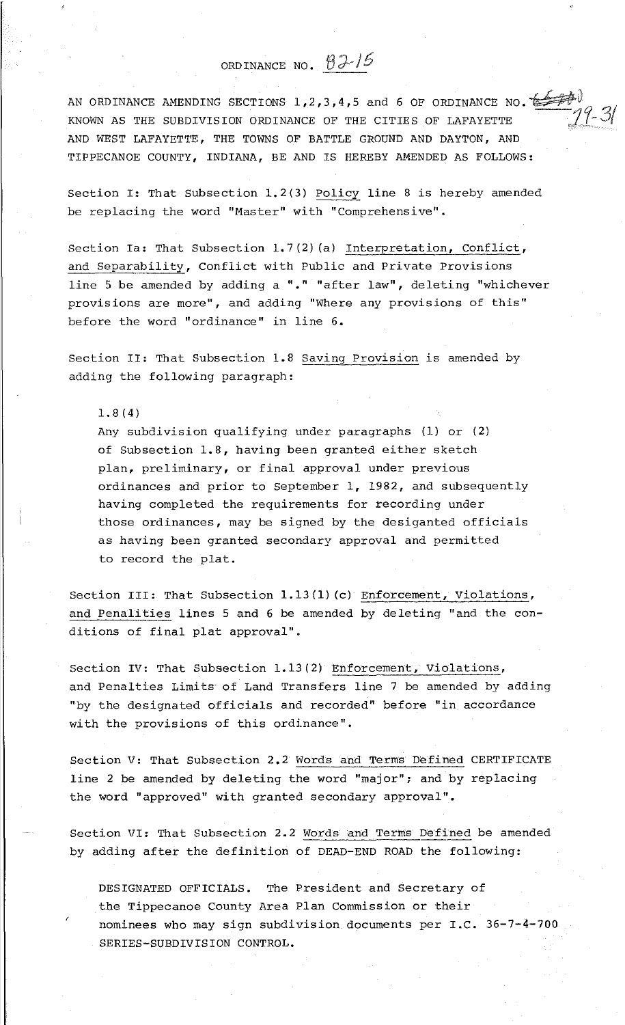## ORDINANCE NO. **02-15**

AN ORDINANCE AMENDING SECTIONS 1, 2, 3, 4, 5 and 6 OF ORDINANCE NO.  $\overleftrightarrow{\leftarrow}$   $\overleftrightarrow{\leftarrow}$  . 2. KNOWN AS THE SUBDIVISION ORDINANCE OF THE CITIES OF LAFAYETTE  $\frac{77-31}{21}$ AND WEST LAFAYETTE, THE TOWNS OF BATTLE GROUND AND DAYTON, AND TIPPECANOE COUNTY, INDIANA, BE AND IS HEREBY AMENDED AS FOLLOWS:

Section I: That Subsection 1.2(3) Policy line 8 is hereby amended be replacing the word "Master" with "Comprehensive".

Section Ia: That Subsection 1.7(2) (a) Interpretation, Conflict, and Separability, Conflict with Public and Private Provisions line 5 be amended by adding a "." "after law", deleting "whichever provisions are more", and adding "Where any provisions of this" before the word "ordinance" in line 6.

Section II: That Subsection 1.8 Saving Provision is amended by adding the following paragraph:

1.8(4)

Any subdivision qualifying under paragraphs (1) or (2) of Subsection 1.8, having been granted either sketch plan, preliminary, or final approval under previous ordinances and prior to September 1, 1982, and subsequently having completed the requirements for recording under those ordinances, may be signed by the desiganted officials as having been granted secondary approval and permitted to record the plat.

Section III: That Subsection 1.13(1) (c) Enforcement, Violations, and Penalities lines 5 and 6 be amended by deleting "and the conditions of final plat approval".

Section IV: That Subsection 1.13(2) Enforcement, Violations, and Penalties Limits of Land Transfers line 7 be amended by adding "by the designated officials and recorded" before "in accordance with the provisions of this ordinance".

Section V: That Subsection 2. 2 Words and Terms Defined CERTIFICATE line 2 be amended by deleting the word "major"; and by replacing the word "approved" with granted secondary approval".

Section VI: That Subsection 2.2 Words and Terms Defined be amended by adding after the definition of DEAD-END ROAD the following:

DESIGNATED OFFICIALS. The President and Secretary of the Tippecanoe County Area Plan Commission or their nominees who may sign subdivision documents per  $I.C. 36-7-4-700$ SERIES-SUBDIVISION CONTROL.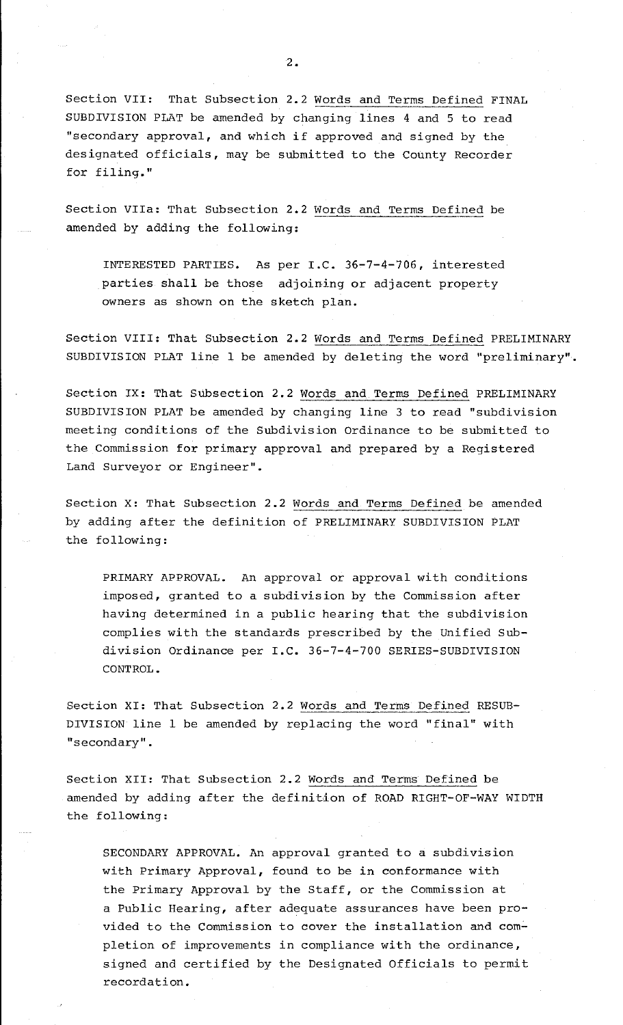Section VII: That Subsection 2.2 Words and Terms Defined FINAL SUBDIVISION PLAT be amended by changing lines 4 and 5 to read "secondary approval, and which if approved and signed by the designated officials, may be submitted to the County Recorder for filing."

Section VIIa: That Subsection 2.2 Words and Terms Defined be amended by adding the following:

INTERESTED PARTIES. As per I.C. 36-7-4-706, interested parties shall be those adjoining or adjacent property owners as shown on the sketch plan.

Section VIII: That Subsection 2.2 Words and Terms Defined PRELIMINARY SUBDIVISION PLAT line 1 be amended by deleting the word "preliminary".

Section IX: That Subsection 2.2 Words and Terms Defined PRELIMINARY SUBDIVISION PLAT be amended by changing line 3 to read "subdivision meeting conditions of the Subdivision Ordinance to be submitted to the Commission for primary approval and prepared by a Registered Land Surveyor or Engineer".

Section X: That Subsection 2.2 Words and Terms Defined be amended by adding after the definition of PRELIMINARY SUBDIVISION PLAT the following:

PRIMARY APPROVAL. An approval or approval with conditions imposed, granted to a subdivision by the Commission after having determined in a public hearing that the subdivision complies with the standards prescribed by the Unified Subdivision Ordinance per I.C. 36-7-4-700 SERIES-SUBDIVISION CONTROL.

Section XI: That Subsection 2.2 Words and Terms Defined RESUB-DIVISION line 1 be amended by replacing the word "final" with "secondary".

Section XII: That Subsection 2. 2 Words and Terms Defined be amended by adding after the definition of ROAD RIGHT-OF-WAY WIDTH the following:

SECONDARY APPROVAL. An approval granted to a subdivision with Primary Approval, found to be in conformance with the Primary Approval by the Staff, or the Commission at a Public Hearing, after adequate assurances have been provided to the Commission to cover the installation and completion of improvements in compliance with the ordinance, signed and certified by the Designated Officials to permit recordation.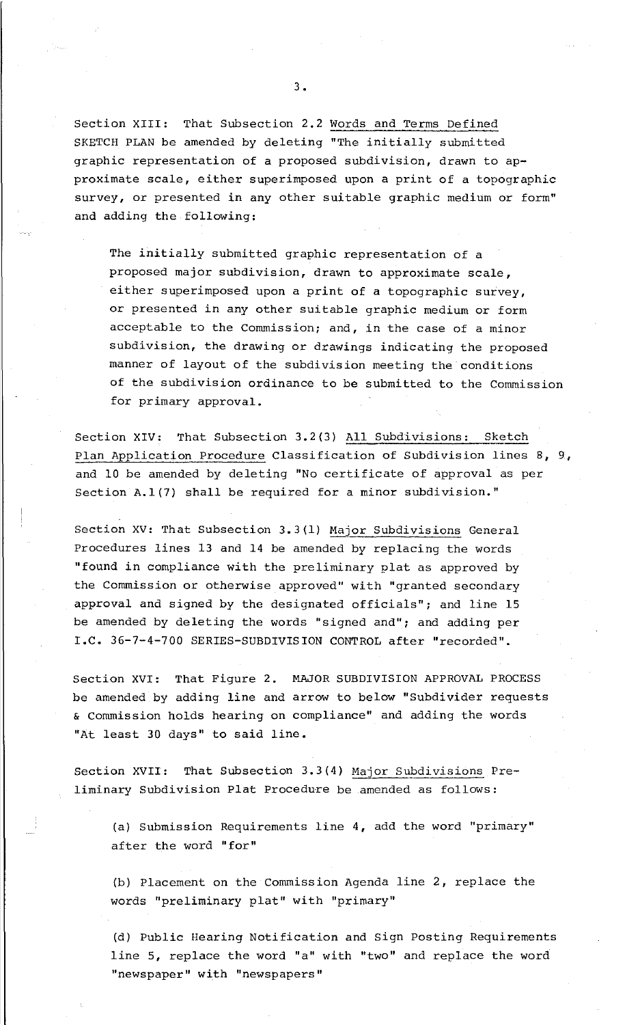Section XIII: That Subsection 2.2 Words and Terms Defined SKETCH PLAN be amended by deleting "The initially submitted graphic representation of a proposed subdivision, drawn to approximate scale, either superimposed upon a print of a topographic survey, or presented *in* any other suitable graphic medium or form" and adding the following:

The initially submitted graphic representation of a proposed major subdivision, drawn to approximate scale, either superimposed upon a print of a topographic survey, or presented *in* any other suitable graphic medium or form acceptable to the Commission; and, *in* the case of a minor subdivision, the drawing or drawings indicating the proposed manner of layout of the subdivision meeting the conditions of the subdivision ordinance to be submitted to the Commission for primary approval.

Section XIV: That Subsection 3.2(3) All Subdivisions: Sketch Plan Application Procedure Classification of Subdivision lines B, 9., and 10 be amended by deleting "No certificate of approval as per Section A.1(7) shall be required for a minor subdivision."

Section XV: That Subsection 3.3(1) Major Subdivisions General Procedures lines 13 and 14 be amended by replacing the words "found in compliance with the preliminary plat as approved by the Commission or otherwise approved" with "granted secondary approval and signed by the designated officials"; and line 15 be amended by deleting the words "signed and"; and adding per I.C. 36-7-4-700 SERIES-SUBDIVISION CONTROL after "recorded".

Section XVI: That Figure 2. MAJOR SUBDIVISION APPROVAL PROCESS be amended by adding line and arrow to below "Subdivider requests & commission holds hearing on compliance" and adding the words "At least 30 days" to said line.

Section XVII: That Subsection 3.3(4) Major Subdivisions Preliminary Subdivision Plat Procedure be amended as follows:

(a) Submission Requirements line 4, add the word "primary" after the word "for"

(b) Placement on the Commission Agenda line 2, replace the words "preliminary plat" with "primary"

(d) Public Hearing Notification and Sign Posting Requirements line 5, replace the word "a" with "two" and replace the word "newspaper" with "newspapers"

3.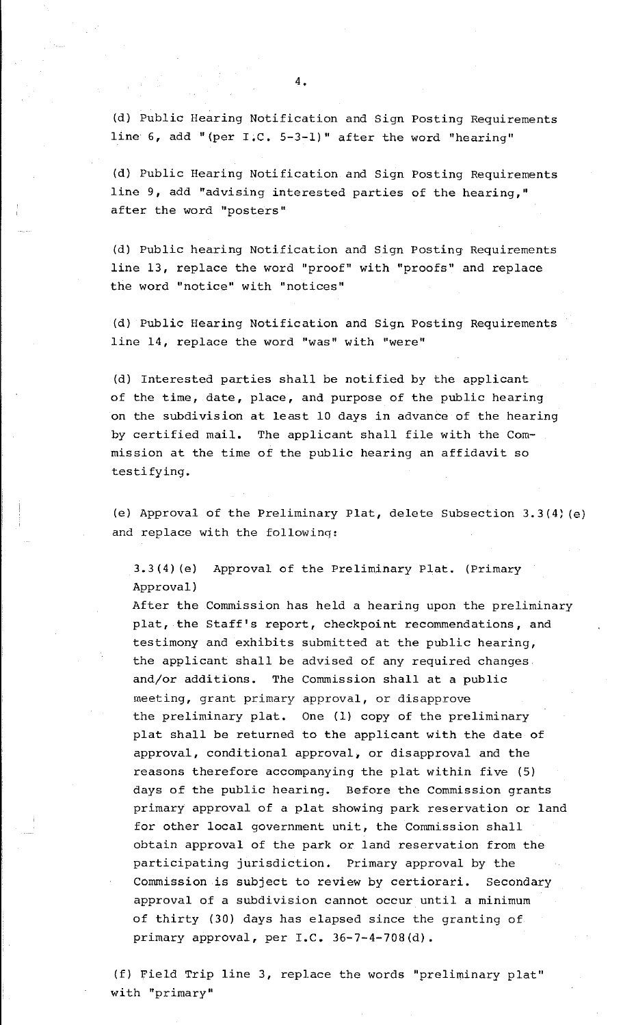(d) Public Hearing Notification and Sign Posting Requirements line  $6$ , add "(per I.C. 5-3-1)" after the word "hearing"

(d) Public Hearing Notification and Sign Posting Requirements line 9, add "advising interested parties of the hearing," after the word "posters"

(d) Public hearing Notification and Sign Posting· Requirements line 13, replace the word "proof" with "proofs" and replace the word "notice" with "notices"

(d) Public Hearing Notification and Sign Posting Requirements line 14, replace the word "was" with "were"

(d) Interested parties shall be notified by the applicant of the time, date, place, and purpose of the public hearing on the subdivision at least 10 days in advance of the hearing by certified mail. The applicant shall file with the Commission at the time of the public hearing an affidavit so testifying.

(e) Approval of the Preliminary Plat, delete Subsection 3.3(4) (e) and replace with the followinq:

3.3(4) (e) Approval of the Preliminary Plat. (Primary Approval)

After the Commission has held a hearing upon the preliminary plat, the Staff's report, checkpoint recommendations, and testimony and exhibits submitted at the public hearing, the applicant shall be advised of any required changes and/or additions. The Commission shall at a public meeting, grant primary approval, or disapprove the preliminary plat. One (1) copy of the preliminary plat shall be returned to the applicant with the date of approval, conditional approval, or disapproval and the reasons therefore accompanying the plat within five (5) days of the public hearing. Before the Commission grants primary approval of a plat showing park reservation or land for other local government unit, the Commission shall obtain approval of the park or land reservation from the participating jurisdiction. Primary approval by the Commission is subject to review by certiorari. Secondary approval of a subdivision cannot occur until a minimum of thirty (30) days has elapsed since the granting of primary approval, per  $I.C. 36-7-4-708(d)$ .

(f) Field Trip line 3, replace the words "preliminary plat" with "primary"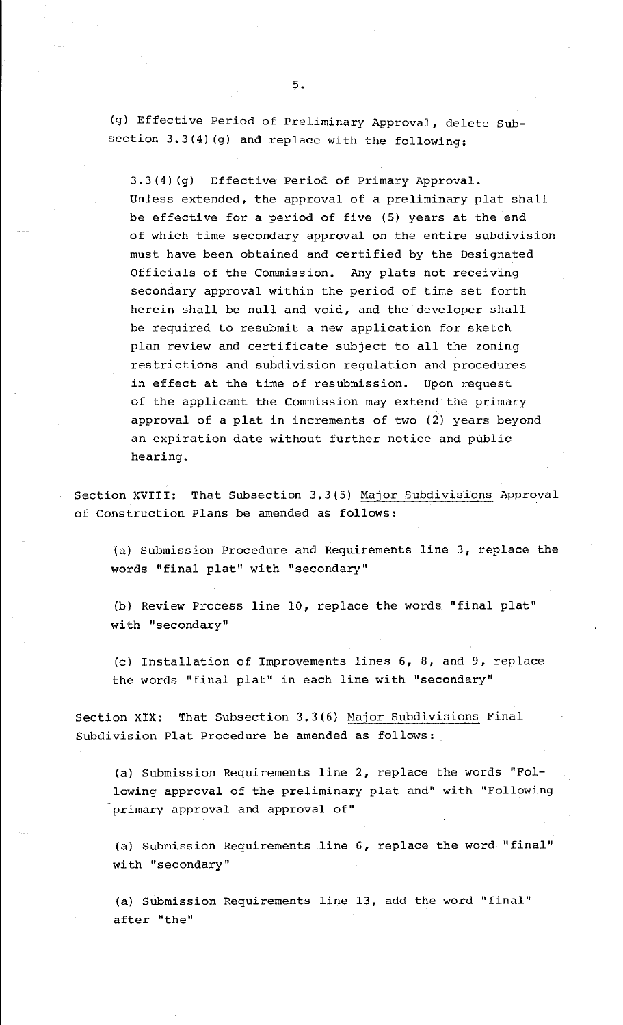(g) Effective Period of Preliminary Approval, delete Subsection 3.3(4) (g) and replace with the following:

3.3(4) (g) Effective Period of Primary Approval. Unless extended, the approval of a preliminary plat shall be effective for a period of five (5) years at the end of which time secondary approval on the entire subdivision must have been obtained and certified by the Designated Officials of the Commission. Any plats not receiving secondary approval within the period of time set forth herein shall be null and void, and the developer shall be required to resubmit a new application for sketch plan review and certificate subject to all the zoning restrictions and subdivision regulation and procedures in effect at the time of resubmission. Upon request of the applicant the Commission may extend the primary approval of a plat in increments of two (2) years beyond an expiration date without further notice and public hearing.

Section XVIII: That Subsection 3.3(5) Major Subdivisions Approval of Construction Plans be amended as follows:

(a) Submission Procedure and Requirements line 3, replace the words "final plat" with "secondary"

(b) Review Process line 10, replace the words "final plat" with "secondary"

(c) Installation of Improvements lines 6, 8, and 9, replace the words "final plat" in each line with "secondary"

Section XIX: That Subsection 3.3(6) Major Subdivisions Final Subdivision Plat Procedure be amended as follows:

(a) Submission Requirements line 2, replace the words "Following approval of the preliminary plat and" with "Following primary approval and approval of"

(a) Submission Requirements line 6, replace the word "final" with "secondary"

(a) Submission Requirements line 13, add the word "final" after "the"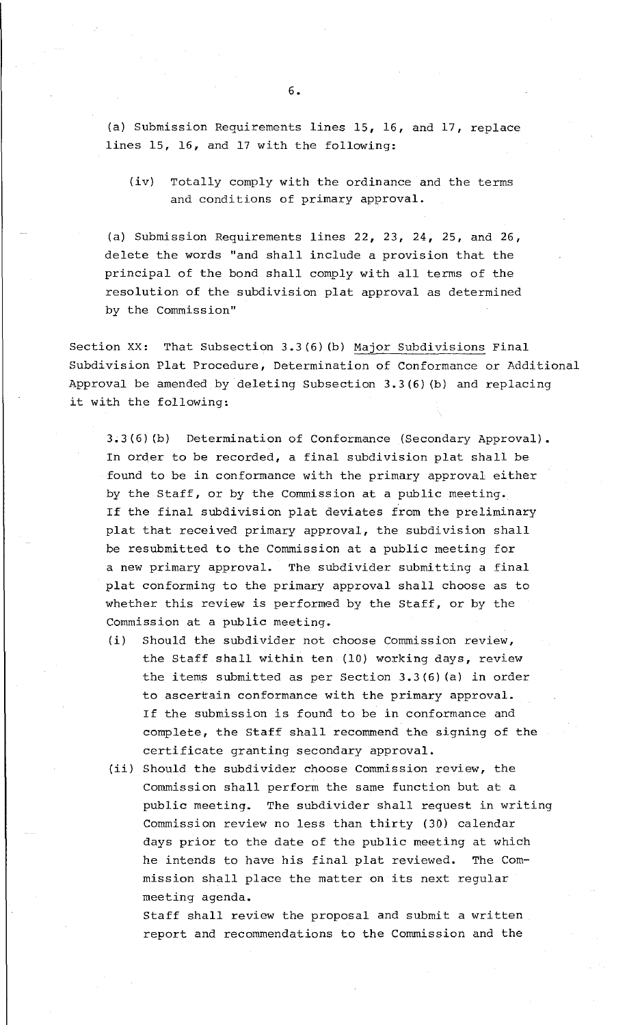(a) Submission Requirements lines 15, 16, and 17, replace lines 15, 16, and 17 with the following:

(iv) Totally comply with the ordinance and the terms and conditions of primary approval.

(a) Submission Requirements lines 22, 23, 24, 25, and 26, delete the words "and shall include a provision that the principal of the bond shall comply with all terms of the resolution of the subdivision plat approval as determined by the Commission"

Section XX: That Subsection 3.3(6) (b) Major Subdivisions Final Subdivision Plat Procedure, Determination of Conformance or Additional Approval be amended by deleting Subsection 3.3(6) (b) and replacing it with the following:

3.3(6) (b) Determination of Conformance (Secondary Approval). In order to be recorded, a final subdivision plat shall be found to be in conformance with the primary approval either by the Staff, or by the Commission at a public meeting. If the final subdivision plat deviates from the preliminary plat that received primary approval, the subdivision shall be resubmitted to the Commission at a public meeting for a new primary approval. The subdivider submitting a final plat conforming to the primary approval shall choose as to whether this review is performed by the Staff, or by the Commission at a public meeting.

- (i) Should the subdivider not choose Commission review, the Staff shall within ten (10) working days, review the items submitted as per Section 3.3(6) (a) in order to ascertain conformance with the primary approval. If the submission is found to be in conformance and complete, the Staff shall recommend the signing of the certificate granting secondary approval.
- (ii) Should the subdivider choose Commission review, the Commission shall perform the same function but at a public meeting. The subdivider shall request in writing Commission review no less than thirty (30) calendar days prior to the date of the public meeting at which he intends to have his final plat reviewed. The Commission shall place the matter on its next regular meeting agenda.

Staff shall review the proposal and submit a written report and recommendations to the Commission and the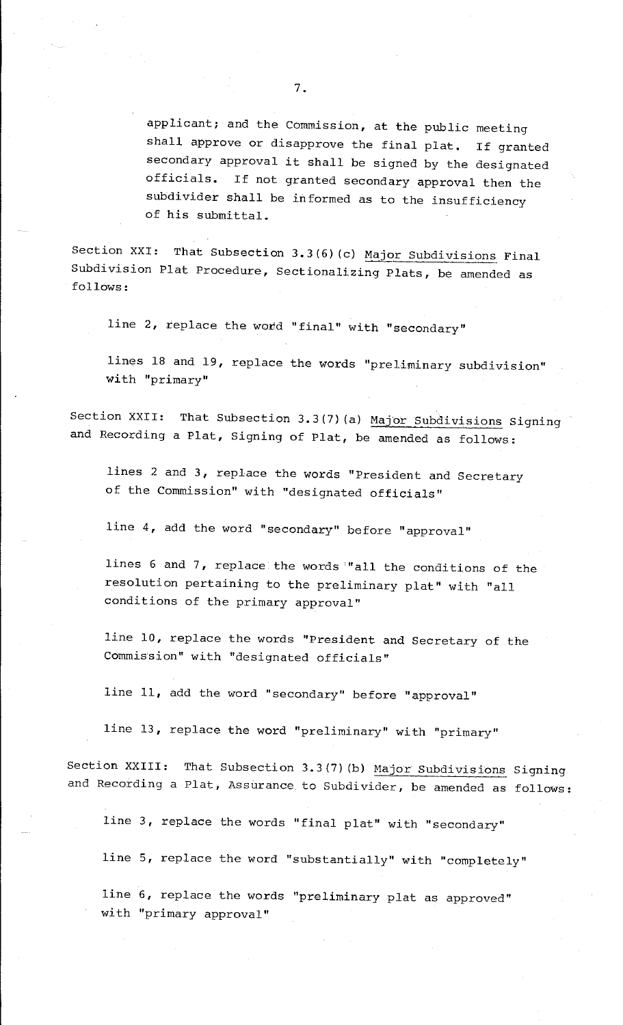applicant; and the Commission, at the public meeting shall approve or disapprove the final plat. If granted secondary approval it shall be signed by the designated officials. If not granted secondary approval then the subdivider shall be informed as to the insufficiency of his submittal.

Section XXI: That Subsection 3.3(6)(c) Major Subdivisions Final Subdivision Plat Procedure, Sectionalizing Plats, be amended as follows:

line 2, replace the word "final" with "secondary"

lines 18 and 19, replace the words "preliminary subdivision" with "primary"

Section XXII: That Subsection 3.3(7) (a) Major Subdivisions Signing and Recording a Plat, Signing of Plat, be amended as follows:

lines 2 and 3, replace the words "President and Secretary of the Commission" with "designated officials"

line 4, add the word "secondary" before "approval"

lines 6 and 7, replace the words '"all the conditions of the resolution pertaining to the preliminary plat" with "all conditions of the primary approval"

line 10, replace the words "President and Secretary of the Commission" with "designated officials"

line 11, add the word "secondary" before "approval"

line 13, replace the word "preliminary" with "primary"

Section XXIII: That Subsection 3.3(7)(b) Major Subdivisions Signing and Recording a Plat, Assurance to Subdivider, be amended as follows:

line 3, replace the words "final plat" with "secondary"

line 5, replace the word "substantially" with "completely"

line 6, replace the words "preliminary plat as approved" with "primary approval"

7.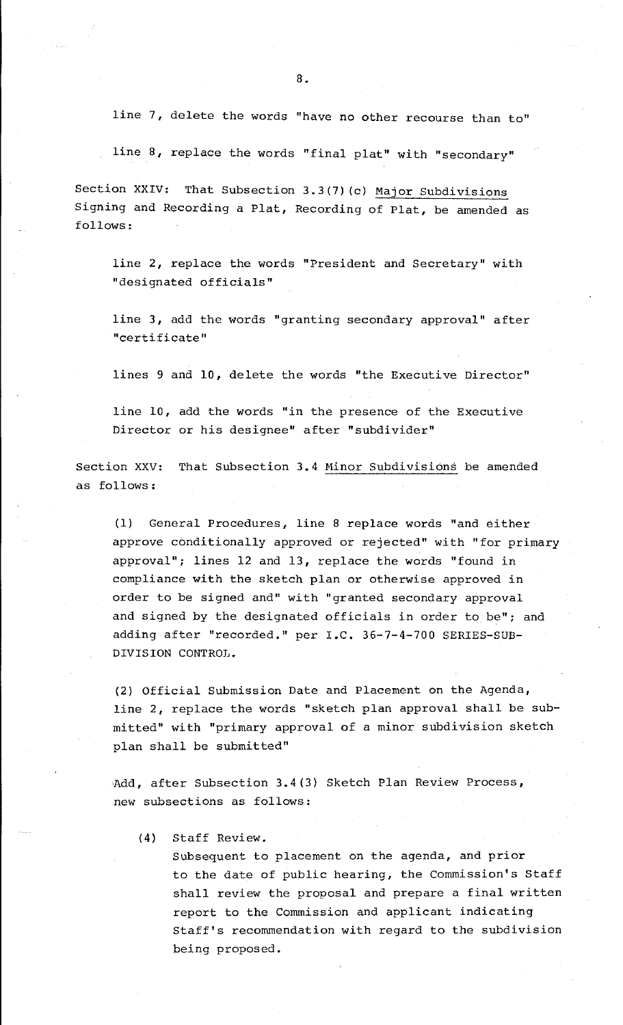line 7, delete the words "have no other recourse than to"

line 8, replace the words "final plat" with "secondary"

Section XXIV: That Subsection 3.3(7)(c) Major Subdivisions Signing and Recording a Plat, Recording of Plat, be amended as follows:

line 2, replace the words "President and Secretary" with "designated officials"

line 3, add the words "granting secondary approval" after "certificate"

lines 9 and 10, delete the words "the Executive Director"

line 10, add the words "in the presence of the Executive Director or his designee" after "subdivider"

Section XXV: That Subsection 3.4 Minor Subdivisions be amended as follows:

 $(1)$  General Procedures, line 8 replace words "and either approve conditionally approved or rejected" with "for primary approval"; lines 12 and 13, replace the words "found in compliance with the sketch plan or otherwise approved in order to be signed and" with "granted secondary approval and signed by the designated officials in order to be"; and adding after "recorded." per I.C. 36-7-4-700 SERIES-SUB-DIVISION CONTROL.

(2) Official Submission Date and Placement on the Agenda, line 2, replace the words "sketch plan approval shall be submitted" with "primary approval of a minor subdivision sketch plan shall be submitted"

,Add, after Subsection 3.4(3) Sketch Plan Review Process, new subsections as follows:

(4) Staff Review.

Subsequent to placement on the agenda, and prior to the date of public hearing, the Commission's Staff shall review the proposal and prepare a final written report to the Commission and applicant indicating Staff's recommendation with regard to the subdivision being proposed.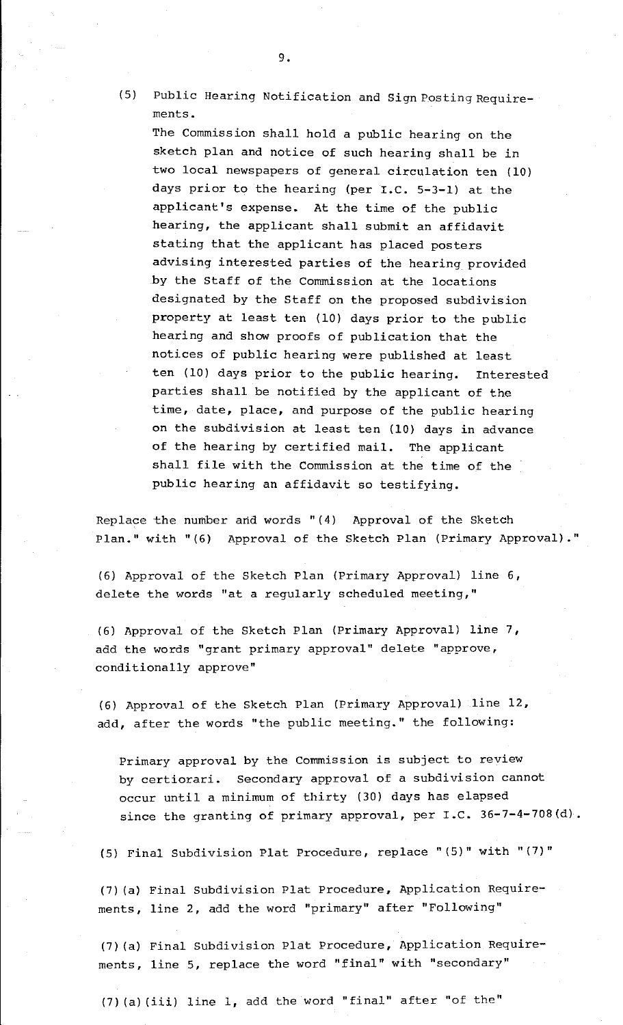(5) Public Hearing Notification and Sign Posting Requirements.

The Commission shall hold a public hearing on the sketch plan and notice of such hearing shall be in two local newspapers of general circulation ten (10) days prior to the hearing (per I.C. 5-3-1) at the applicant's expense. At the time of the public hearing, the applicant shall submit an affidavit stating that the applicant has placed posters advising interested parties of the hearing provided .by the Staff of the Commission at the locations designated by the Staff on the proposed subdivision property at least ten (10) days prior to the public hearing and show proofs of publication that the notices of public hearing were published at least ten (10) days prior to the public hearing. Interested parties shall be notified by the applicant of the time, date, place, and purpose of the public hearing on the subdivision at least ten (10) days in advance of the hearing by certified mail. The applicant shall file with the Commission at the time of the public hearing an affidavit so testifying.

Replace the number and words " (4) Approval of the Sketch Plan." with "(6) Approval of the Sketch Plan (Primary Approval)."

(6) Approval of the Sketch Plan (Primary Approval) line 6, delete the words "at a regularly scheduled meeting,"

(6) Approval of the Sketch Plan (Primary Approval) line 7, add the words "grant primary approval" delete "approve, conditionally approve"

(6) Approval of the Sketch Plan (Primary Approval) line 12, add, after the words "the public meeting." the following:

Primary approval by the Commission is subject to review by certiorari. Secondary approval of a subdivision cannot occur until a minimum of thirty (30) days has elapsed since the granting of primary approval, per  $I.C. 36-7-4-708(d)$ .

(5) Final Subdivision Plat Procedure, replace "(5)" with "(7)"

(7) (a) Final Subdivision Plat Procedure, Application Requirements, line 2, add the word "primary" after "Following"

(7) (a) Final Subdivision Plat Procedure, Application Requirements, line 5, replace the word "final" with "secondary"

(7) (a) (iii) line 1, add the word "final" after "of the"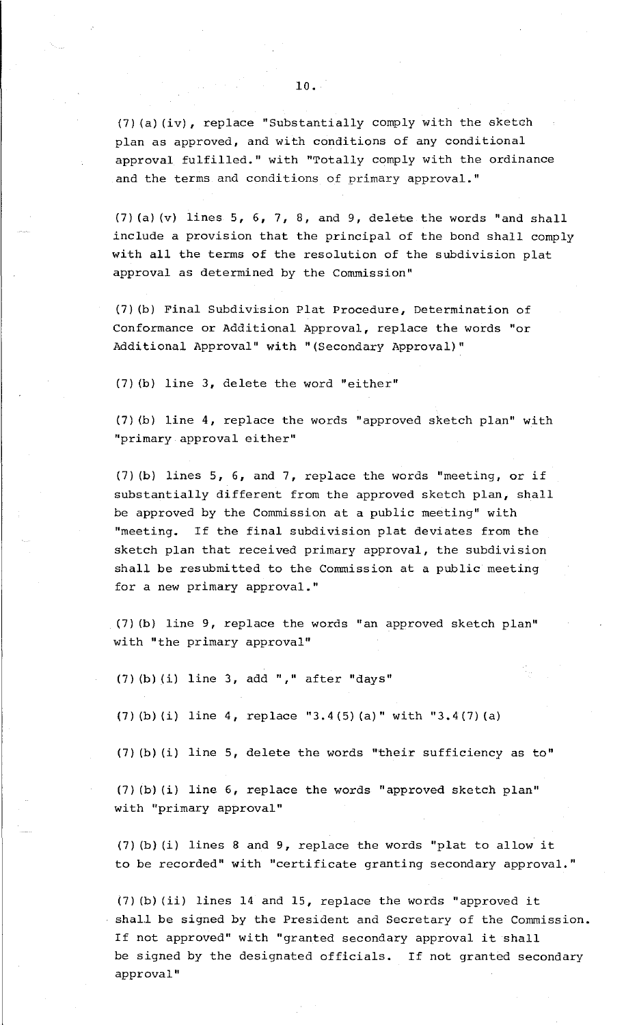(7) (a) (iv), replace "Substantially comply with the sketah plan as approved, and with conditions of any conditional approval fulfilled." with "Totally comply with the ordinance and the terms and conditions of primary approval."

(7) (a) (v) lines  $5, 6, 7, 8,$  and 9, delete the words "and shall include a provision that the principal of the bond shall comply with all the terms of the resolution of the subdivision plat approval as determined by the Commission"

(7) (b) Final Subdivision Plat Procedure, Determination of Conformance or Additional Approval, replace the words "or Additional Approval" with "(Secondary Approval)"

(7) (b) line 3, delete the word "either"

(7) (b) line 4, replace the words "approved sketch plan" with "primary approval either"

(7) (b) lines 5, 6, and 7, replace the words "meeting, or if substantially different from the approved sketch plan, shall be approved by the Commission at a public meeting" with "meeting. If the final subdivision plat deviates from the sketch plan that received primary approval, the subdivision shall be resubmitted to the Commission at a public meeting for a new primary approval."

(7) (b) line 9, replace the words "an approved sketch plan" with "the primary approval"

(7) (b) (i) line  $3$ , add "," after "days"

(7) (b) (i) line 4, replace "3.4 (5) (a)" with "3.4 (7) (a)

(7) (b) (i) line 5, delete the words "their sufficiency as to"

(7) (b) (i) line 6, replace the words "approved sketch plan" with "primary approval"

(7) (b) (i) lines 8 and 9, replace the words "plat to allow it to be recorded" with "certificate granting secondary approval."

(7) (b) (ii) lines 14 and 15, replace the words "approved it shall be signed by the President and Secretary of the Commission. If not approved" with "granted secondary approval it shall be signed by the designated officials. If not granted secondary approval"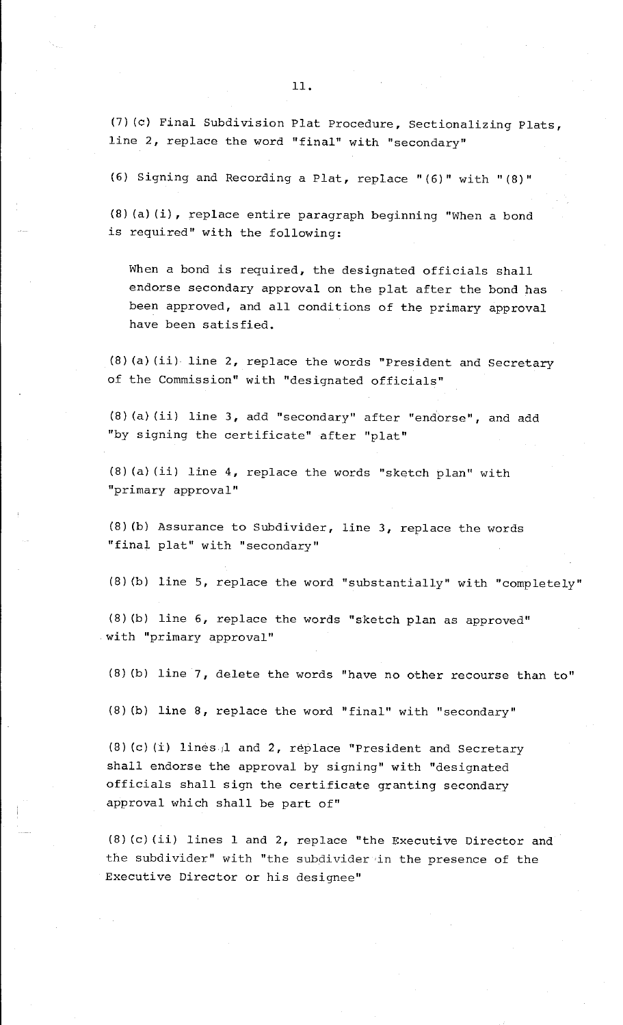11.

(7) (c) Final Subdivision Plat Procedure, Sectionalizing Plats, line 2, replace the word "final" with "secondary"

(6) Signing and Recording a Plat, replace "(6)" with "(8)"

(8) (a) (i), replace entire paragraph beginning "When a bond is required" with the following:

When a bond is required, the designated officials shall endorse secondary approval on the plat after the bond has been approved, and all conditions of the primary approval have been satisfied.

(8) (a) (ii) line 2, replace the words "President and Secretary of the Commission" with "designated officials"

(8) (a) (ii) line 3, add "secondary" after "endorse", and add "by signing the certificate" after "plat"

(8) (a) (ii) line 4, replace the words "sketch plan" with "primary approval"

(8) (b) Assurance to Subdivider, line 3, replace the words "final plat" with "secondary"

(8) (b) line 5, replace the word "substantially" with "completely"

( 8) (b) line 6, replace the words "sketch plan as approved" with "primary approval"

(8) (b) line 7, delete the words "have no other recourse than to"

(8) (b) line 8, replace the word "final" with "secondary"

(8) (c) (i) lines 1 and 2, replace "President and Secretary shall endorse the approval by signing" with "designated officials shall sign the certificate granting secondary approval which shall be part of"

(8) (c) (ii) lines 1 and 2, replace "the Executive Director and the subdivider" with "the subdivider in the presence of the Executive Director or his designee"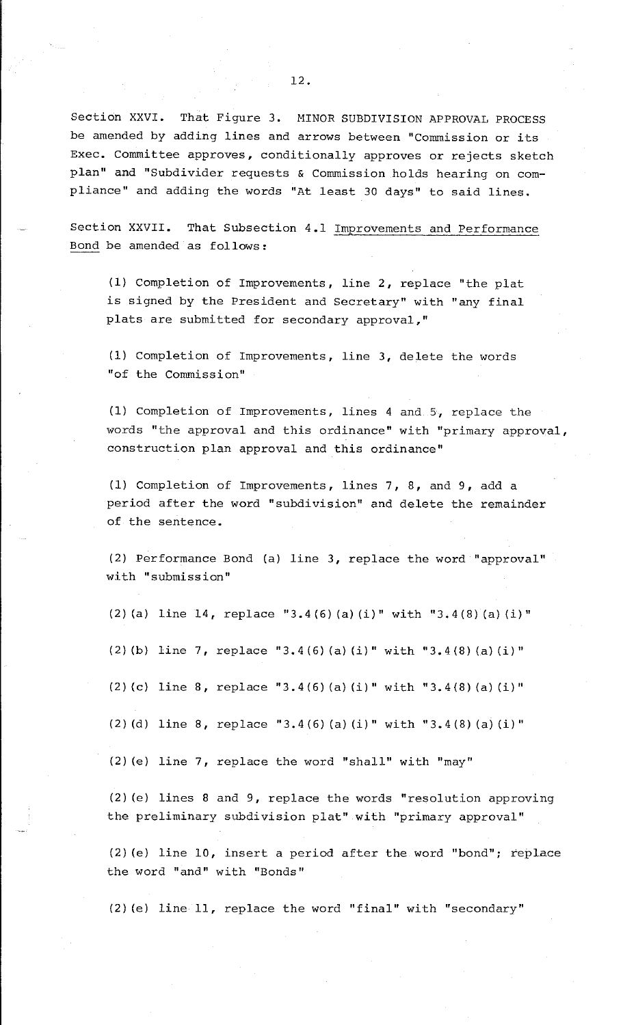12.

Section XXVI. That Figure 3. MINOR SUBDIVISION APPROVAL PROCESS be amended by adding lines and arrows between "Commission or its Exec. Committee approves, conditionally approves or rejects sketch plan" and "Subdivider requests & Commission holds hearing on compliance" and adding the words "At least 30 days" to said lines.

Section XXVII. That Subsection 4.1 Improvements and Performance Bond be amended as follows:

(1) Completion of Improvements, line 2, replace "the plat is signed by the President and Secretary" with "any final plats are submitted for secondary approval,"

(1) Completion of Improvements, line 3, delete the words "of the Commission"

(1) Completion of Improvements, lines 4 and 5, replace the words "the approval and this ordinance" with "primary approval, construction plan approval and this ordinance"

(1) Completion of Improvements, lines 7, 8, and 9, add a period after the word "subdivision" and delete the remainder of the sentence.

(2) Performance Bond (a} line 3, replace the word "approval" with "submission"

(2) (a} line 14, replace "3.4(6) (a} (i}" with "3.4(8) (a} (i}"

(2) (b} line 7, replace "3.4(6) (a} (i}" with "3.4(8) (a} (i}"

(2) (c} line 8, replace "3.4(6) (a} (i)" with "3.4(8) (a) (i}"

(2) (d} line 8, replace "3.4(6) (a} (i}" with "3.4(8) (a} (i}"

(2) (e} line 7, replace the word "shall" with "may"

(2) (e} lines 8 and 9, replace the words "resolution approving the preliminary subdivision plat" with "primary approval"

(2) (e} line 10, insert a period after the word "bond"; replace the word "and" with "Bonds"

(2) (e} line 11, replace the word "final" with "secondary"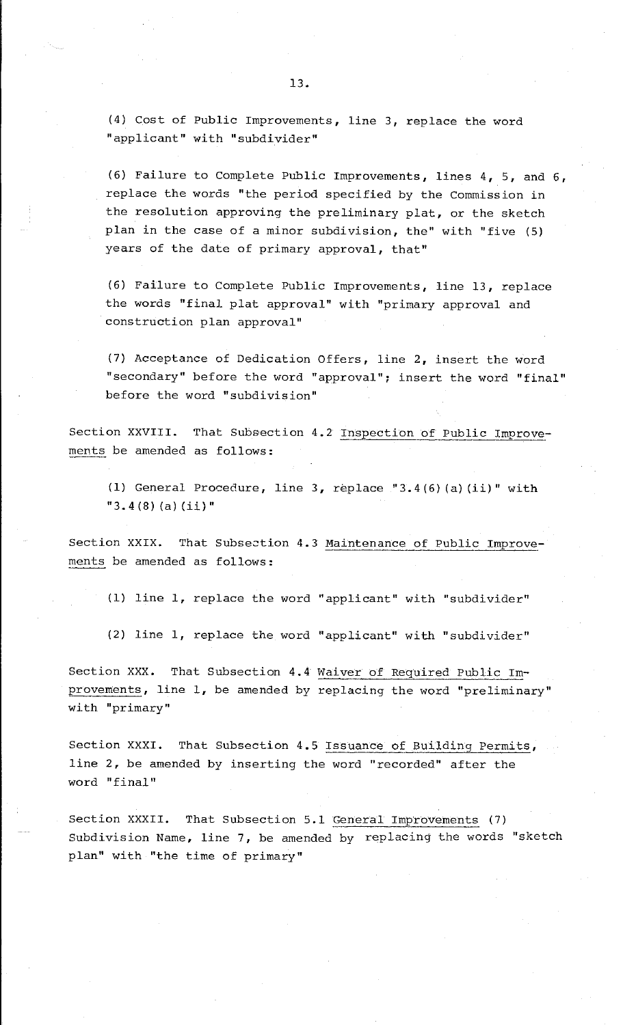(4) Cost of Public Improvements, line 3, replace the word "applicant" with "subdivider"

(6) Failure to Complete Public Improvements, lines 4, 5, and 6, replace the words "the period specified by the Commission in the resolution approving the preliminary plat, or the sketch plan in the case of a minor subdivision, the" with "five (5) years of the date of primary approval, that"

(6) Failure to Complete Public Improvements, line 13, replace the words "final plat approval" with "primary approval and construction plan approval"

(7) Acceptance of Dedication Offers, line 2, insert the word "secondary" before the word "approval"; insert the word "final" before the word "subdivision"

Section XXVIII. That Subsection 4.2 Inspection of Public Improvements be amended as follows:

(l) General Procedure, line 3, replace "3.4 (6) (a) (ii)" with  $"3.4(8)(a)(ii)"$ 

Section XXIX. That Subsection 4.3 Maintenance of Public Improvements be amended as follows:

(1) line 1, replace the word "applicant" with "subdivider"

(2) line 1, replace the word "applicant" with "subdivider"

Section XXX. That Subsection 4.4 Waiver of Required Public Improvements, line 1, be amended by replacing the word "preliminary" with "primary"

Section XXXI. That Subsection 4.5 Issuance of Building Permits, line 2, be amended by inserting the word "recorded" after the word "final"

Section XXXII. That Subsection 5.1 General Improvements (7) Subdivision Name, line 7, be amended by replacing the words "sketch plan" with "the time of primary"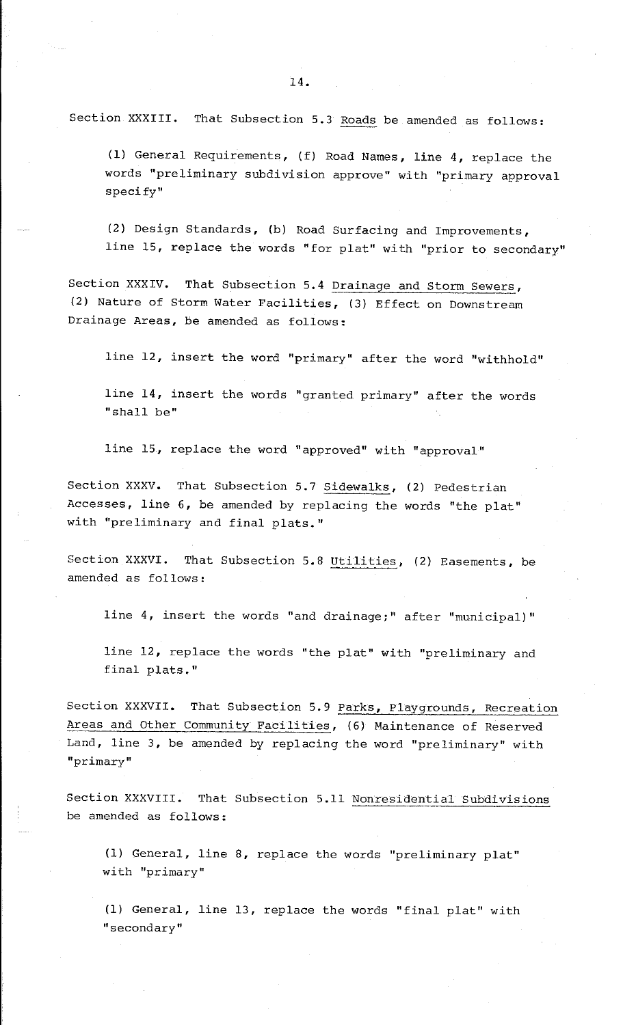Section XXXIII. That Subsection 5.3 Roads be amended as follows:

(1) General Requirements, (f) Road Names, line 4, replace the words "preliminary subdivision approve" with "primary approval specify"

(2) Design Standards, (b) Road Surfacing and Improvements, line 15, replace the words "for plat" with "prior to secondary"

Section XXXIV. That Subsection 5.4 Drainage and Storm Sewers, (2) Nature of Storm Water Facilities, (3) Effect on Downstream Drainage Areas, be amended as follows:

line 12, insert the word "primary" after the word "withhold"

line 14, insert the words "granted primary" after the words "shall be"

line 15, replace the word "approved" with "approval"

Section XXXV. That Subsection 5.7 Sidewalks, (2) Pedestrian Accesses, line 6, be amended by replacing the words "the plat" with "preliminary and final plats."

Section XXXVI. That Subsection 5.8 Utilities, (2) Easements, be amended as follows:

line 4, insert the words "and drainage;" after "municipal)"

line 12, replace the words "the plat" with "preliminary and final plats."

Section XXXVII. That Subsection 5. 9 Parks, Playgrounds, Recreation Areas and Other Community Facilities, (6) Maintenance of Reserved Land, line 3, be amended by replacing the word "preliminary" with **"primary"** 

Section XXXVIII. That Subsection 5.11 Nonresidential Subdivisions be amended as follows:

(1) General, line 8, replace the words "preliminary plat" with "primary"

(1) General, line 13, replace the words "final plat" with **"secondary"**